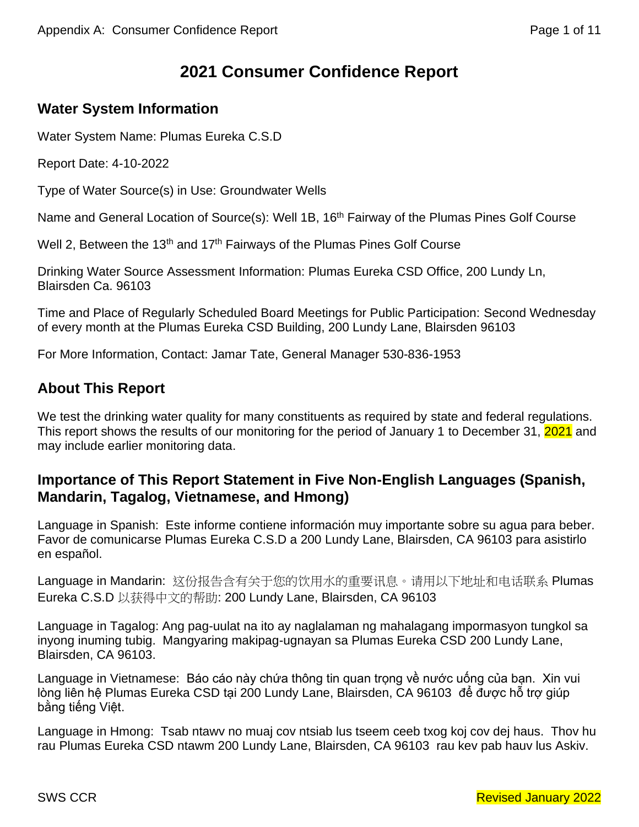# **2021 Consumer Confidence Report**

# **Water System Information**

Water System Name: Plumas Eureka C.S.D

Report Date: 4-10-2022

Type of Water Source(s) in Use: Groundwater Wells

Name and General Location of Source(s): Well 1B, 16<sup>th</sup> Fairway of the Plumas Pines Golf Course

Well 2, Between the 13<sup>th</sup> and 17<sup>th</sup> Fairways of the Plumas Pines Golf Course

Drinking Water Source Assessment Information: Plumas Eureka CSD Office, 200 Lundy Ln, Blairsden Ca. 96103

Time and Place of Regularly Scheduled Board Meetings for Public Participation: Second Wednesday of every month at the Plumas Eureka CSD Building, 200 Lundy Lane, Blairsden 96103

For More Information, Contact: Jamar Tate, General Manager 530-836-1953

# **About This Report**

We test the drinking water quality for many constituents as required by state and federal regulations. This report shows the results of our monitoring for the period of January 1 to December 31, 2021 and may include earlier monitoring data.

# **Importance of This Report Statement in Five Non-English Languages (Spanish, Mandarin, Tagalog, Vietnamese, and Hmong)**

Language in Spanish: Este informe contiene información muy importante sobre su agua para beber. Favor de comunicarse Plumas Eureka C.S.D a 200 Lundy Lane, Blairsden, CA 96103 para asistirlo en español.

Language in Mandarin: 这份报告含有关于您的饮用水的重要讯息。请用以下地址和电话联系 Plumas Eureka C.S.D 以获得中文的帮助: 200 Lundy Lane, Blairsden, CA 96103

Language in Tagalog: Ang pag-uulat na ito ay naglalaman ng mahalagang impormasyon tungkol sa inyong inuming tubig. Mangyaring makipag-ugnayan sa Plumas Eureka CSD 200 Lundy Lane, Blairsden, CA 96103.

Language in Vietnamese: Báo cáo này chứa thông tin quan trong về nước uống của ban. Xin vui lòng liên hệ Plumas Eureka CSD tại 200 Lundy Lane, Blairsden, CA 96103 để được hỗ trợ giúp bằng tiếng Việt.

Language in Hmong: Tsab ntawv no muaj cov ntsiab lus tseem ceeb txog koj cov dej haus. Thov hu rau Plumas Eureka CSD ntawm 200 Lundy Lane, Blairsden, CA 96103 rau kev pab hauv lus Askiv.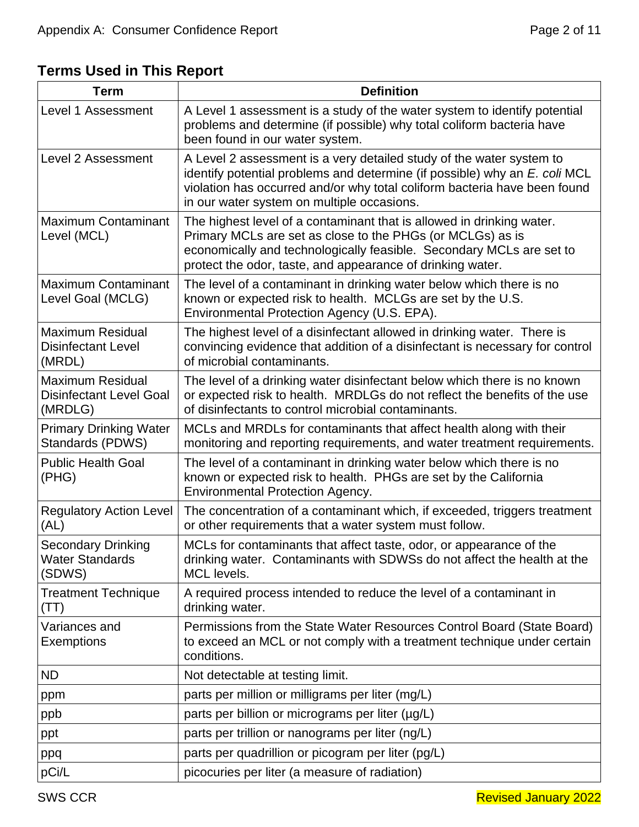# **Terms Used in This Report**

| <b>Term</b>                                                          | <b>Definition</b>                                                                                                                                                                                                                                                             |
|----------------------------------------------------------------------|-------------------------------------------------------------------------------------------------------------------------------------------------------------------------------------------------------------------------------------------------------------------------------|
| Level 1 Assessment                                                   | A Level 1 assessment is a study of the water system to identify potential<br>problems and determine (if possible) why total coliform bacteria have<br>been found in our water system.                                                                                         |
| Level 2 Assessment                                                   | A Level 2 assessment is a very detailed study of the water system to<br>identify potential problems and determine (if possible) why an E. coli MCL<br>violation has occurred and/or why total coliform bacteria have been found<br>in our water system on multiple occasions. |
| <b>Maximum Contaminant</b><br>Level (MCL)                            | The highest level of a contaminant that is allowed in drinking water.<br>Primary MCLs are set as close to the PHGs (or MCLGs) as is<br>economically and technologically feasible. Secondary MCLs are set to<br>protect the odor, taste, and appearance of drinking water.     |
| <b>Maximum Contaminant</b><br>Level Goal (MCLG)                      | The level of a contaminant in drinking water below which there is no<br>known or expected risk to health. MCLGs are set by the U.S.<br>Environmental Protection Agency (U.S. EPA).                                                                                            |
| <b>Maximum Residual</b><br><b>Disinfectant Level</b><br>(MRDL)       | The highest level of a disinfectant allowed in drinking water. There is<br>convincing evidence that addition of a disinfectant is necessary for control<br>of microbial contaminants.                                                                                         |
| <b>Maximum Residual</b><br><b>Disinfectant Level Goal</b><br>(MRDLG) | The level of a drinking water disinfectant below which there is no known<br>or expected risk to health. MRDLGs do not reflect the benefits of the use<br>of disinfectants to control microbial contaminants.                                                                  |
| <b>Primary Drinking Water</b><br>Standards (PDWS)                    | MCLs and MRDLs for contaminants that affect health along with their<br>monitoring and reporting requirements, and water treatment requirements.                                                                                                                               |
| <b>Public Health Goal</b><br>(PHG)                                   | The level of a contaminant in drinking water below which there is no<br>known or expected risk to health. PHGs are set by the California<br><b>Environmental Protection Agency.</b>                                                                                           |
| <b>Regulatory Action Level</b><br>(AL)                               | The concentration of a contaminant which, if exceeded, triggers treatment<br>or other requirements that a water system must follow.                                                                                                                                           |
| <b>Secondary Drinking</b><br><b>Water Standards</b><br>(SDWS)        | MCLs for contaminants that affect taste, odor, or appearance of the<br>drinking water. Contaminants with SDWSs do not affect the health at the<br>MCL levels.                                                                                                                 |
| <b>Treatment Technique</b><br>(TT)                                   | A required process intended to reduce the level of a contaminant in<br>drinking water.                                                                                                                                                                                        |
| Variances and<br>Exemptions                                          | Permissions from the State Water Resources Control Board (State Board)<br>to exceed an MCL or not comply with a treatment technique under certain<br>conditions.                                                                                                              |
| <b>ND</b>                                                            | Not detectable at testing limit.                                                                                                                                                                                                                                              |
| ppm                                                                  | parts per million or milligrams per liter (mg/L)                                                                                                                                                                                                                              |
| ppb                                                                  | parts per billion or micrograms per liter (µg/L)                                                                                                                                                                                                                              |
| ppt                                                                  | parts per trillion or nanograms per liter (ng/L)                                                                                                                                                                                                                              |
| ppq                                                                  | parts per quadrillion or picogram per liter (pg/L)                                                                                                                                                                                                                            |
| pCi/L                                                                | picocuries per liter (a measure of radiation)                                                                                                                                                                                                                                 |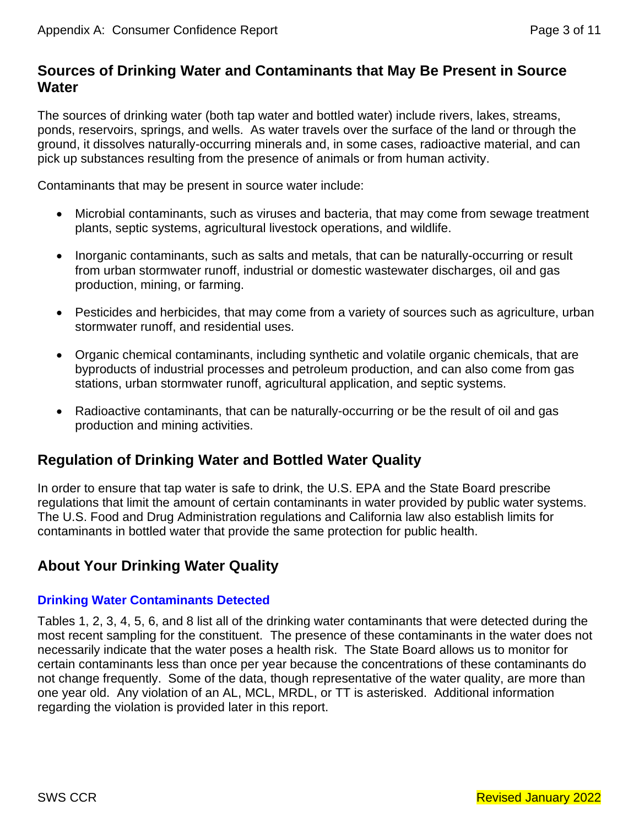# **Sources of Drinking Water and Contaminants that May Be Present in Source Water**

The sources of drinking water (both tap water and bottled water) include rivers, lakes, streams, ponds, reservoirs, springs, and wells. As water travels over the surface of the land or through the ground, it dissolves naturally-occurring minerals and, in some cases, radioactive material, and can pick up substances resulting from the presence of animals or from human activity.

Contaminants that may be present in source water include:

- Microbial contaminants, such as viruses and bacteria, that may come from sewage treatment plants, septic systems, agricultural livestock operations, and wildlife.
- Inorganic contaminants, such as salts and metals, that can be naturally-occurring or result from urban stormwater runoff, industrial or domestic wastewater discharges, oil and gas production, mining, or farming.
- Pesticides and herbicides, that may come from a variety of sources such as agriculture, urban stormwater runoff, and residential uses.
- Organic chemical contaminants, including synthetic and volatile organic chemicals, that are byproducts of industrial processes and petroleum production, and can also come from gas stations, urban stormwater runoff, agricultural application, and septic systems.
- Radioactive contaminants, that can be naturally-occurring or be the result of oil and gas production and mining activities.

# **Regulation of Drinking Water and Bottled Water Quality**

In order to ensure that tap water is safe to drink, the U.S. EPA and the State Board prescribe regulations that limit the amount of certain contaminants in water provided by public water systems. The U.S. Food and Drug Administration regulations and California law also establish limits for contaminants in bottled water that provide the same protection for public health.

# **About Your Drinking Water Quality**

## **Drinking Water Contaminants Detected**

Tables 1, 2, 3, 4, 5, 6, and 8 list all of the drinking water contaminants that were detected during the most recent sampling for the constituent. The presence of these contaminants in the water does not necessarily indicate that the water poses a health risk. The State Board allows us to monitor for certain contaminants less than once per year because the concentrations of these contaminants do not change frequently. Some of the data, though representative of the water quality, are more than one year old. Any violation of an AL, MCL, MRDL, or TT is asterisked. Additional information regarding the violation is provided later in this report.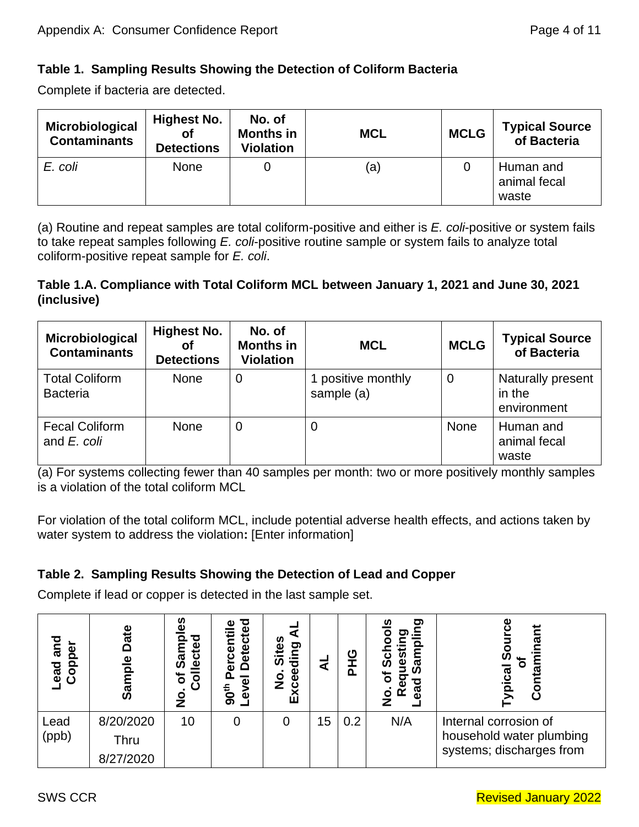# **Table 1. Sampling Results Showing the Detection of Coliform Bacteria**

Complete if bacteria are detected.

| Microbiological<br><b>Contaminants</b> | <b>Highest No.</b><br>Οf<br><b>Detections</b> | No. of<br><b>Months in</b><br><b>Violation</b> | <b>MCL</b> | <b>MCLG</b> | <b>Typical Source</b><br>of Bacteria |
|----------------------------------------|-----------------------------------------------|------------------------------------------------|------------|-------------|--------------------------------------|
| E. coli                                | None                                          |                                                | (a)        |             | Human and<br>animal fecal<br>waste   |

(a) Routine and repeat samples are total coliform-positive and either is *E. coli*-positive or system fails to take repeat samples following *E. coli*-positive routine sample or system fails to analyze total coliform-positive repeat sample for *E. coli*.

## **Table 1.A. Compliance with Total Coliform MCL between January 1, 2021 and June 30, 2021 (inclusive)**

| Microbiological<br><b>Contaminants</b>   | <b>Highest No.</b><br>Οf<br><b>Detections</b> | No. of<br><b>Months in</b><br><b>Violation</b> | <b>MCL</b>                       | <b>MCLG</b> | <b>Typical Source</b><br>of Bacteria       |
|------------------------------------------|-----------------------------------------------|------------------------------------------------|----------------------------------|-------------|--------------------------------------------|
| <b>Total Coliform</b><br><b>Bacteria</b> | <b>None</b>                                   | $\mathbf 0$                                    | I positive monthly<br>sample (a) | $\mathbf 0$ | Naturally present<br>in the<br>environment |
| <b>Fecal Coliform</b><br>and E. coli     | <b>None</b>                                   | $\boldsymbol{0}$                               | 0                                | None        | Human and<br>animal fecal<br>waste         |

(a) For systems collecting fewer than 40 samples per month: two or more positively monthly samples is a violation of the total coliform MCL

For violation of the total coliform MCL, include potential adverse health effects, and actions taken by water system to address the violation**:** [Enter information]

# **Table 2. Sampling Results Showing the Detection of Lead and Copper**

Complete if lead or copper is detected in the last sample set.

| and<br>$\overline{8}$<br>Cop<br><b>ead</b> | ້<br>ວັ<br>$\frac{e}{\rho}$<br>Samp   | ဖိ<br>О<br>≌<br>တိ<br>Φ<br>৳<br>$\overline{\bullet}$<br><u>୦</u><br>z | eg<br>G<br>5<br><b>Detect</b><br>cent<br>ក<br>90 <sup>th</sup><br>$\omega$ | ທ<br>ರಾ<br>ق<br>din<br>ັທ<br>Φ<br>Ō<br>Z<br>Exc |    | ပ<br>൨ | ත<br>ω<br>ᠭᠣ<br>$\overline{\Omega}$<br>ᠭᠣ<br>≃ | О<br>ಥ                                                                        |
|--------------------------------------------|---------------------------------------|-----------------------------------------------------------------------|----------------------------------------------------------------------------|-------------------------------------------------|----|--------|------------------------------------------------|-------------------------------------------------------------------------------|
| Lead<br>(ppb)                              | 8/20/2020<br><b>Thru</b><br>8/27/2020 | 10                                                                    | 0                                                                          | 0                                               | 15 | 0.2    | N/A                                            | Internal corrosion of<br>household water plumbing<br>systems; discharges from |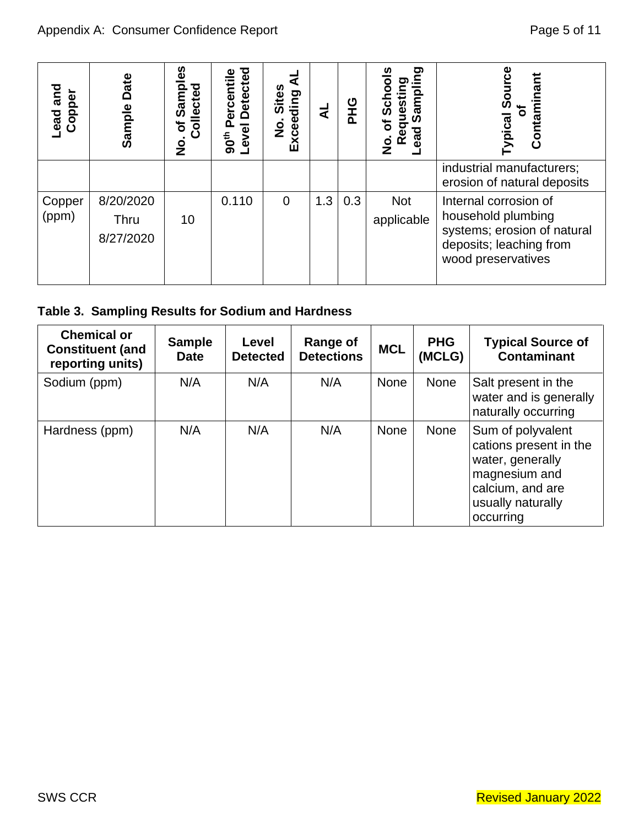| <b>Lead and</b><br>Copper | Sample Date                                                       | Samples<br>Collected<br>$\delta$<br>$\frac{1}{2}$ | Level Detected<br>90 <sup>th</sup> Percentile | ₹<br>No. Sites<br>Exceeding | さ                                    | <b>PHG</b> | No. of Schools<br>Requesting | Sampling<br>Lead |                      | <b>Typical Source</b><br>Contaminant<br>$\overline{\sigma}$                                                                            |
|---------------------------|-------------------------------------------------------------------|---------------------------------------------------|-----------------------------------------------|-----------------------------|--------------------------------------|------------|------------------------------|------------------|----------------------|----------------------------------------------------------------------------------------------------------------------------------------|
|                           |                                                                   |                                                   |                                               |                             |                                      |            |                              |                  |                      | industrial manufacturers;<br>erosion of natural deposits                                                                               |
| Copper<br>(ppm)           | 8/20/2020<br>Thru<br>8/27/2020                                    | 10                                                | 0.110                                         | $\overline{0}$              | 1.3                                  | 0.3        | <b>Not</b><br>applicable     |                  |                      | Internal corrosion of<br>household plumbing<br>systems; erosion of natural<br>deposits; leaching from<br>wood preservatives            |
|                           | Table 3. Sampling Results for Sodium and Hardness                 |                                                   |                                               |                             |                                      |            |                              |                  |                      |                                                                                                                                        |
|                           | <b>Chemical or</b><br><b>Constituent (and</b><br>reporting units) | <b>Sample</b><br><b>Date</b>                      | Level<br><b>Detected</b>                      |                             | <b>Range of</b><br><b>Detections</b> |            | <b>MCL</b>                   |                  | <b>PHG</b><br>(MCLG) | <b>Typical Source of</b><br><b>Contaminant</b>                                                                                         |
| Sodium (ppm)              |                                                                   | N/A                                               | N/A                                           |                             | N/A                                  |            | <b>None</b>                  |                  | None                 | Salt present in the<br>water and is generally<br>naturally occurring                                                                   |
| Hardness (ppm)            |                                                                   | N/A                                               | N/A                                           |                             | N/A                                  |            | None                         |                  | None                 | Sum of polyvalent<br>cations present in the<br>water, generally<br>magnesium and<br>calcium, and are<br>usually naturally<br>occurring |
|                           |                                                                   |                                                   |                                               |                             |                                      |            |                              |                  |                      |                                                                                                                                        |
| <b>SWS CCR</b>            |                                                                   |                                                   |                                               |                             |                                      |            |                              |                  |                      | <b>Revised January 2022</b>                                                                                                            |

# **Table 3. Sampling Results for Sodium and Hardness**

| <b>Chemical or</b><br><b>Constituent (and</b><br>reporting units) | <b>Sample</b><br><b>Date</b> | Level<br><b>Detected</b> | Range of<br><b>Detections</b> | <b>MCL</b>  | <b>PHG</b><br>(MCLG) | <b>Typical Source of</b><br><b>Contaminant</b>                                                                                         |
|-------------------------------------------------------------------|------------------------------|--------------------------|-------------------------------|-------------|----------------------|----------------------------------------------------------------------------------------------------------------------------------------|
| Sodium (ppm)                                                      | N/A                          | N/A                      | N/A                           | <b>None</b> | None                 | Salt present in the<br>water and is generally<br>naturally occurring                                                                   |
| Hardness (ppm)                                                    | N/A                          | N/A                      | N/A                           | <b>None</b> | None                 | Sum of polyvalent<br>cations present in the<br>water, generally<br>magnesium and<br>calcium, and are<br>usually naturally<br>occurring |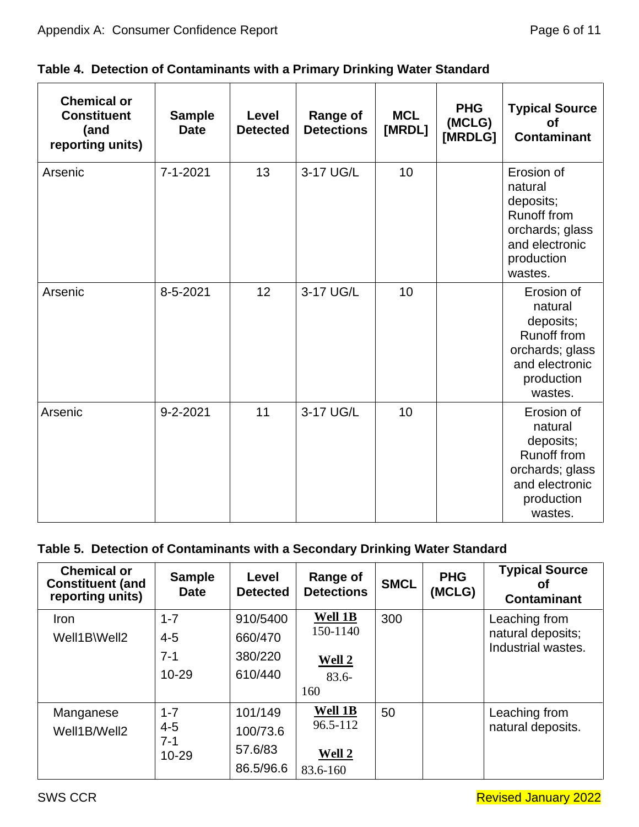|  |  |  | Table 4. Detection of Contaminants with a Primary Drinking Water Standard |  |
|--|--|--|---------------------------------------------------------------------------|--|
|  |  |  |                                                                           |  |

| <b>Chemical or</b><br><b>Constituent</b><br>(and<br>reporting units) | <b>Sample</b><br><b>Date</b> | Level<br><b>Detected</b> | <b>Range of</b><br><b>Detections</b> | <b>MCL</b><br>[MRDL] | <b>PHG</b><br>(MCLG)<br>[MRDLG] | <b>Typical Source</b><br><b>of</b><br><b>Contaminant</b>                                                               |
|----------------------------------------------------------------------|------------------------------|--------------------------|--------------------------------------|----------------------|---------------------------------|------------------------------------------------------------------------------------------------------------------------|
| Arsenic                                                              | 7-1-2021                     | 13                       | 3-17 UG/L                            | 10                   |                                 | Erosion of<br>natural<br>deposits;<br><b>Runoff from</b><br>orchards; glass<br>and electronic<br>production<br>wastes. |
| Arsenic                                                              | 8-5-2021                     | 12                       | 3-17 UG/L                            | 10                   |                                 | Erosion of<br>natural<br>deposits;<br><b>Runoff from</b><br>orchards; glass<br>and electronic<br>production<br>wastes. |
| Arsenic                                                              | $9 - 2 - 2021$               | 11                       | 3-17 UG/L                            | 10                   |                                 | Erosion of<br>natural<br>deposits;<br><b>Runoff from</b><br>orchards; glass<br>and electronic<br>production<br>wastes. |

# **Table 5. Detection of Contaminants with a Secondary Drinking Water Standard**

| <b>Chemical or</b><br><b>Constituent (and</b><br>reporting units) | <b>Sample</b><br><b>Date</b> | Level<br><b>Detected</b> | <b>Range of</b><br><b>Detections</b> | <b>SMCL</b> | <b>PHG</b><br>(MCLG) | <b>Typical Source</b><br>Οt<br><b>Contaminant</b> |
|-------------------------------------------------------------------|------------------------------|--------------------------|--------------------------------------|-------------|----------------------|---------------------------------------------------|
| <b>Iron</b>                                                       | $1 - 7$                      | 910/5400                 | Well 1B                              | 300         |                      | Leaching from                                     |
| Well1B\Well2                                                      | $4 - 5$                      | 660/470                  | 150-1140                             |             |                      | natural deposits;                                 |
|                                                                   | $7 - 1$                      | 380/220                  | <b>Well 2</b>                        |             |                      | Industrial wastes.                                |
|                                                                   | 10-29                        | 610/440                  | $83.6 -$                             |             |                      |                                                   |
|                                                                   |                              |                          | 160                                  |             |                      |                                                   |
| Manganese                                                         | $1 - 7$                      | 101/149                  | Well 1B                              | 50          |                      | Leaching from                                     |
| Well1B/Well2                                                      | $4 - 5$                      | 100/73.6                 | 96.5-112                             |             |                      | natural deposits.                                 |
|                                                                   | 7-1<br>10-29                 | 57.6/83                  | Well 2                               |             |                      |                                                   |
|                                                                   |                              | 86.5/96.6                | 83.6-160                             |             |                      |                                                   |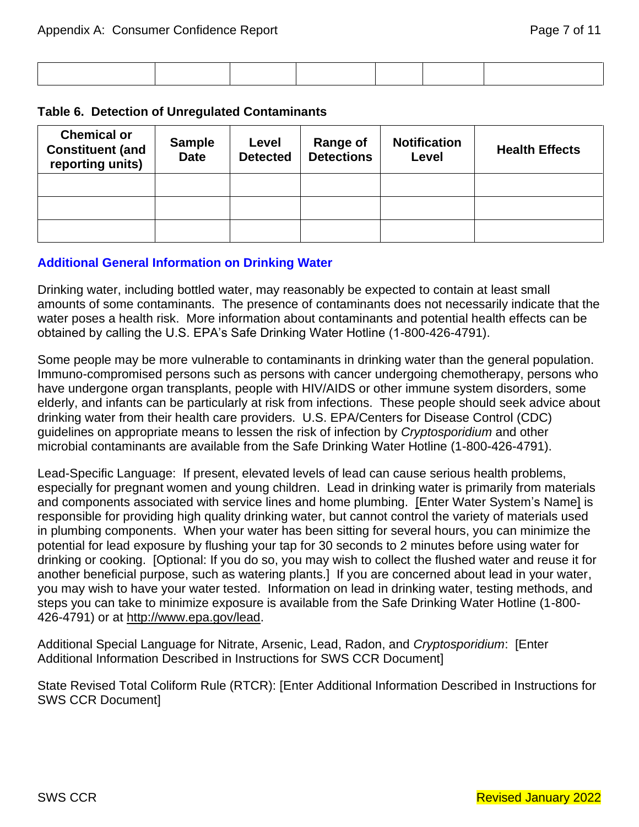#### **Table 6. Detection of Unregulated Contaminants**

| <b>Chemical or</b><br><b>Constituent (and</b><br>reporting units) | <b>Sample</b><br><b>Date</b> | Level<br><b>Detected</b> | Range of<br><b>Detections</b> | <b>Notification</b><br>Level | <b>Health Effects</b> |
|-------------------------------------------------------------------|------------------------------|--------------------------|-------------------------------|------------------------------|-----------------------|
|                                                                   |                              |                          |                               |                              |                       |
|                                                                   |                              |                          |                               |                              |                       |
|                                                                   |                              |                          |                               |                              |                       |

## **Additional General Information on Drinking Water**

Drinking water, including bottled water, may reasonably be expected to contain at least small amounts of some contaminants. The presence of contaminants does not necessarily indicate that the water poses a health risk. More information about contaminants and potential health effects can be obtained by calling the U.S. EPA's Safe Drinking Water Hotline (1-800-426-4791).

Some people may be more vulnerable to contaminants in drinking water than the general population. Immuno-compromised persons such as persons with cancer undergoing chemotherapy, persons who have undergone organ transplants, people with HIV/AIDS or other immune system disorders, some elderly, and infants can be particularly at risk from infections. These people should seek advice about drinking water from their health care providers. U.S. EPA/Centers for Disease Control (CDC) guidelines on appropriate means to lessen the risk of infection by *Cryptosporidium* and other microbial contaminants are available from the Safe Drinking Water Hotline (1-800-426-4791).

Lead-Specific Language: If present, elevated levels of lead can cause serious health problems, especially for pregnant women and young children. Lead in drinking water is primarily from materials and components associated with service lines and home plumbing. [Enter Water System's Name] is responsible for providing high quality drinking water, but cannot control the variety of materials used in plumbing components. When your water has been sitting for several hours, you can minimize the potential for lead exposure by flushing your tap for 30 seconds to 2 minutes before using water for drinking or cooking. [Optional: If you do so, you may wish to collect the flushed water and reuse it for another beneficial purpose, such as watering plants.] If you are concerned about lead in your water, you may wish to have your water tested. Information on lead in drinking water, testing methods, and steps you can take to minimize exposure is available from the Safe Drinking Water Hotline (1-800- 426-4791) or at [http://www.epa.gov/lead.](http://www.epa.gov/lead)

Additional Special Language for Nitrate, Arsenic, Lead, Radon, and *Cryptosporidium*: [Enter Additional Information Described in Instructions for SWS CCR Document]

State Revised Total Coliform Rule (RTCR): [Enter Additional Information Described in Instructions for SWS CCR Document]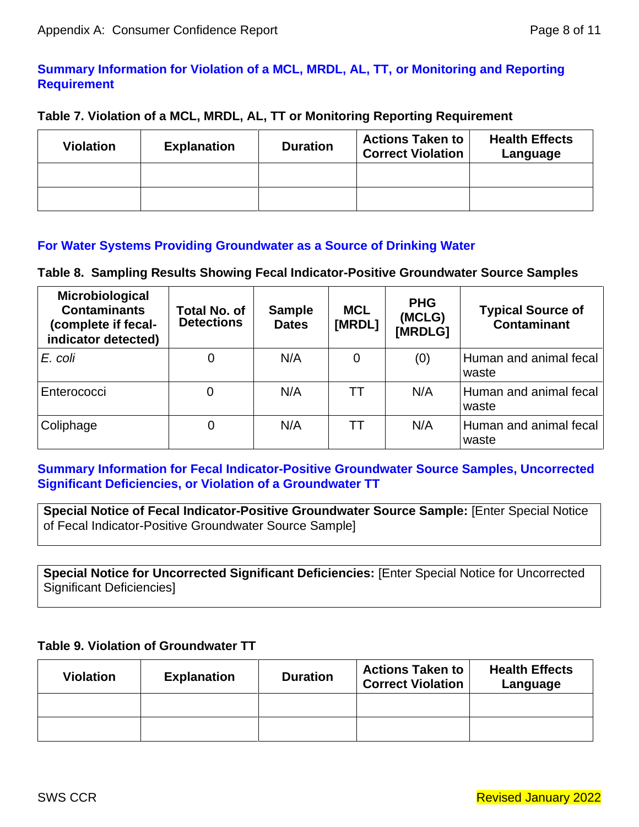# **Summary Information for Violation of a MCL, MRDL, AL, TT, or Monitoring and Reporting Requirement**

## **Table 7. Violation of a MCL, MRDL, AL, TT or Monitoring Reporting Requirement**

| <b>Violation</b> | <b>Explanation</b> | <b>Duration</b> | <b>Actions Taken to</b><br><b>Correct Violation</b> | <b>Health Effects</b><br>Language |
|------------------|--------------------|-----------------|-----------------------------------------------------|-----------------------------------|
|                  |                    |                 |                                                     |                                   |
|                  |                    |                 |                                                     |                                   |

## **For Water Systems Providing Groundwater as a Source of Drinking Water**

## **Table 8. Sampling Results Showing Fecal Indicator-Positive Groundwater Source Samples**

| Microbiological<br><b>Contaminants</b><br>(complete if fecal-<br>indicator detected) | Total No. of<br><b>Detections</b> | <b>Sample</b><br><b>Dates</b> | <b>MCL</b><br>[MRDL] | <b>PHG</b><br>(MCLG)<br>[MRDLG] | <b>Typical Source of</b><br><b>Contaminant</b> |
|--------------------------------------------------------------------------------------|-----------------------------------|-------------------------------|----------------------|---------------------------------|------------------------------------------------|
| E. coli                                                                              | 0                                 | N/A                           | 0                    | (0)                             | Human and animal fecal<br>waste                |
| Enterococci                                                                          |                                   | N/A                           | TТ                   | N/A                             | Human and animal fecal<br>waste                |
| Coliphage                                                                            | 0                                 | N/A                           | TТ                   | N/A                             | Human and animal fecal<br>waste                |

## **Summary Information for Fecal Indicator-Positive Groundwater Source Samples, Uncorrected Significant Deficiencies, or Violation of a Groundwater TT**

**Special Notice of Fecal Indicator-Positive Groundwater Source Sample:** [Enter Special Notice of Fecal Indicator-Positive Groundwater Source Sample]

**Special Notice for Uncorrected Significant Deficiencies:** [Enter Special Notice for Uncorrected Significant Deficiencies]

## **Table 9. Violation of Groundwater TT**

| <b>Violation</b> | <b>Explanation</b> | <b>Duration</b> | <b>Actions Taken to</b><br><b>Correct Violation</b> | <b>Health Effects</b><br>Language |
|------------------|--------------------|-----------------|-----------------------------------------------------|-----------------------------------|
|                  |                    |                 |                                                     |                                   |
|                  |                    |                 |                                                     |                                   |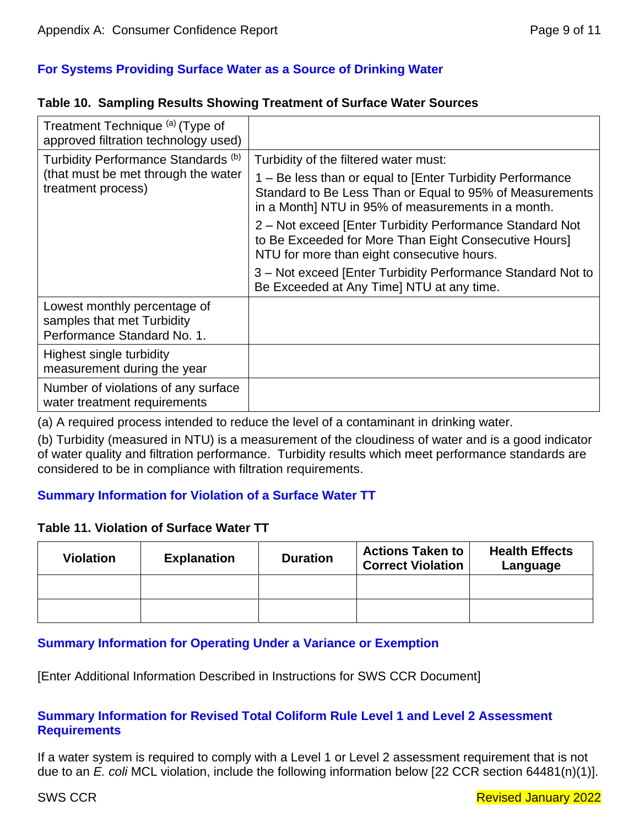# **For Systems Providing Surface Water as a Source of Drinking Water**

#### **Table 10. Sampling Results Showing Treatment of Surface Water Sources**

| Treatment Technique (a) (Type of<br>approved filtration technology used)                  |                                                                                                                                                                             |  |
|-------------------------------------------------------------------------------------------|-----------------------------------------------------------------------------------------------------------------------------------------------------------------------------|--|
| Turbidity Performance Standards (b)                                                       | Turbidity of the filtered water must:                                                                                                                                       |  |
| (that must be met through the water<br>treatment process)                                 | 1 - Be less than or equal to [Enter Turbidity Performance<br>Standard to Be Less Than or Equal to 95% of Measurements<br>in a Month] NTU in 95% of measurements in a month. |  |
|                                                                                           | 2 – Not exceed [Enter Turbidity Performance Standard Not<br>to Be Exceeded for More Than Eight Consecutive Hours]<br>NTU for more than eight consecutive hours.             |  |
|                                                                                           | 3 – Not exceed [Enter Turbidity Performance Standard Not to<br>Be Exceeded at Any Time] NTU at any time.                                                                    |  |
| Lowest monthly percentage of<br>samples that met Turbidity<br>Performance Standard No. 1. |                                                                                                                                                                             |  |
| Highest single turbidity<br>measurement during the year                                   |                                                                                                                                                                             |  |
| Number of violations of any surface<br>water treatment requirements                       |                                                                                                                                                                             |  |

(a) A required process intended to reduce the level of a contaminant in drinking water.

(b) Turbidity (measured in NTU) is a measurement of the cloudiness of water and is a good indicator of water quality and filtration performance. Turbidity results which meet performance standards are considered to be in compliance with filtration requirements.

## **Summary Information for Violation of a Surface Water TT**

## **Table 11. Violation of Surface Water TT**

| <b>Violation</b> | <b>Explanation</b> | <b>Duration</b> | <b>Actions Taken to</b><br><b>Correct Violation</b> | <b>Health Effects</b><br>Language |
|------------------|--------------------|-----------------|-----------------------------------------------------|-----------------------------------|
|                  |                    |                 |                                                     |                                   |
|                  |                    |                 |                                                     |                                   |

## **Summary Information for Operating Under a Variance or Exemption**

[Enter Additional Information Described in Instructions for SWS CCR Document]

## **Summary Information for Revised Total Coliform Rule Level 1 and Level 2 Assessment Requirements**

If a water system is required to comply with a Level 1 or Level 2 assessment requirement that is not due to an *E. coli* MCL violation, include the following information below [22 CCR section 64481(n)(1)].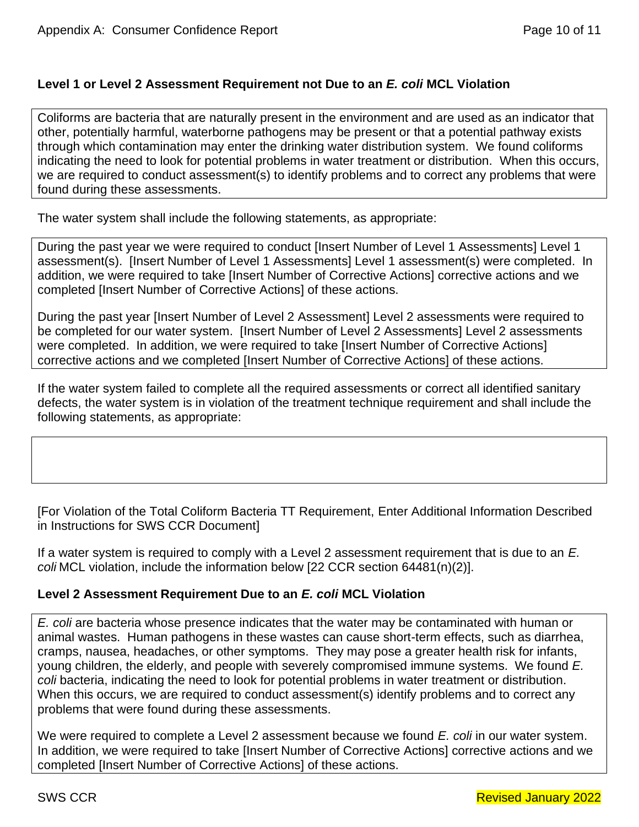## **Level 1 or Level 2 Assessment Requirement not Due to an** *E. coli* **MCL Violation**

Coliforms are bacteria that are naturally present in the environment and are used as an indicator that other, potentially harmful, waterborne pathogens may be present or that a potential pathway exists through which contamination may enter the drinking water distribution system. We found coliforms indicating the need to look for potential problems in water treatment or distribution. When this occurs, we are required to conduct assessment(s) to identify problems and to correct any problems that were found during these assessments.

The water system shall include the following statements, as appropriate:

During the past year we were required to conduct [Insert Number of Level 1 Assessments] Level 1 assessment(s). [Insert Number of Level 1 Assessments] Level 1 assessment(s) were completed. In addition, we were required to take [Insert Number of Corrective Actions] corrective actions and we completed [Insert Number of Corrective Actions] of these actions.

During the past year [Insert Number of Level 2 Assessment] Level 2 assessments were required to be completed for our water system. [Insert Number of Level 2 Assessments] Level 2 assessments were completed. In addition, we were required to take [Insert Number of Corrective Actions] corrective actions and we completed [Insert Number of Corrective Actions] of these actions.

If the water system failed to complete all the required assessments or correct all identified sanitary defects, the water system is in violation of the treatment technique requirement and shall include the following statements, as appropriate:

[For Violation of the Total Coliform Bacteria TT Requirement, Enter Additional Information Described in Instructions for SWS CCR Document]

If a water system is required to comply with a Level 2 assessment requirement that is due to an *E. coli* MCL violation, include the information below [22 CCR section 64481(n)(2)].

## **Level 2 Assessment Requirement Due to an** *E. coli* **MCL Violation**

*E. coli* are bacteria whose presence indicates that the water may be contaminated with human or animal wastes. Human pathogens in these wastes can cause short-term effects, such as diarrhea, cramps, nausea, headaches, or other symptoms. They may pose a greater health risk for infants, young children, the elderly, and people with severely compromised immune systems. We found *E. coli* bacteria, indicating the need to look for potential problems in water treatment or distribution. When this occurs, we are required to conduct assessment(s) identify problems and to correct any problems that were found during these assessments.

We were required to complete a Level 2 assessment because we found *E. coli* in our water system. In addition, we were required to take [Insert Number of Corrective Actions] corrective actions and we completed [Insert Number of Corrective Actions] of these actions.